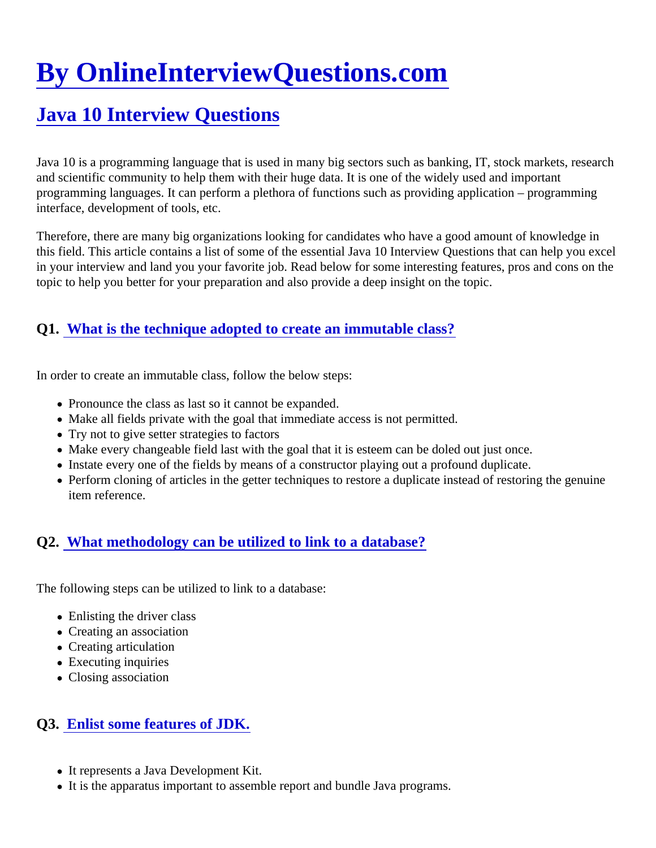# [By OnlineInterviewQuestions.com](https://www.onlineinterviewquestions.com/)

# [Java 10 Interview Questions](https://www.onlineinterviewquestions.com/java-10-interview-questions/)

Java 10 is a programming language that is used in many big sectors such as banking, IT, stock markets, rese and scientific community to help them with their huge data. It is one of the widely used and important programming languages. It can perform a plethora of functions such as providing application – programming interface, development of tools, etc.

Therefore, there are many big organizations looking for candidates who have a good amount of knowledge in this field. This article contains a list of some of the essential Java 10 Interview Questions that can help you ex in your interview and land you your favorite job. Read below for some interesting features, pros and cons on t topic to help you better for your preparation and also provide a deep insight on the topic.

#### Q1. [What is the technique adopted to create an immutable clas](https://www.onlineinterviewquestions.com/what-is-the-technique-adopted-to-create-an-immutable-class/)s?

In order to create an immutable class, follow the below steps:

- Pronounce the class as last so it cannot be expanded.
- Make all fields private with the goal that immediate access is not permitted.
- Try not to give setter strategies to factors
- Make every changeable field last with the goal that it is esteem can be doled out just once.
- Instate every one of the fields by means of a constructor playing out a profound duplicate.
- Perform cloning of articles in the getter techniques to restore a duplicate instead of restoring the genuin item reference.

#### Q2. [What methodology can be utilized to link to a database](https://www.onlineinterviewquestions.com/what-methodology-can-be-utilized-to-link-to-a-database/)?

The following steps can be utilized to link to a database:

- Enlisting the driver class
- Creating an association
- Creating articulation
- Executing inquiries
- Closing association

#### Q3. [Enlist some features of JDK](https://www.onlineinterviewquestions.com/enlist-some-features-of-jdk/).

- It represents a Java Development Kit.
- It is the apparatus important to assemble report and bundle Java programs.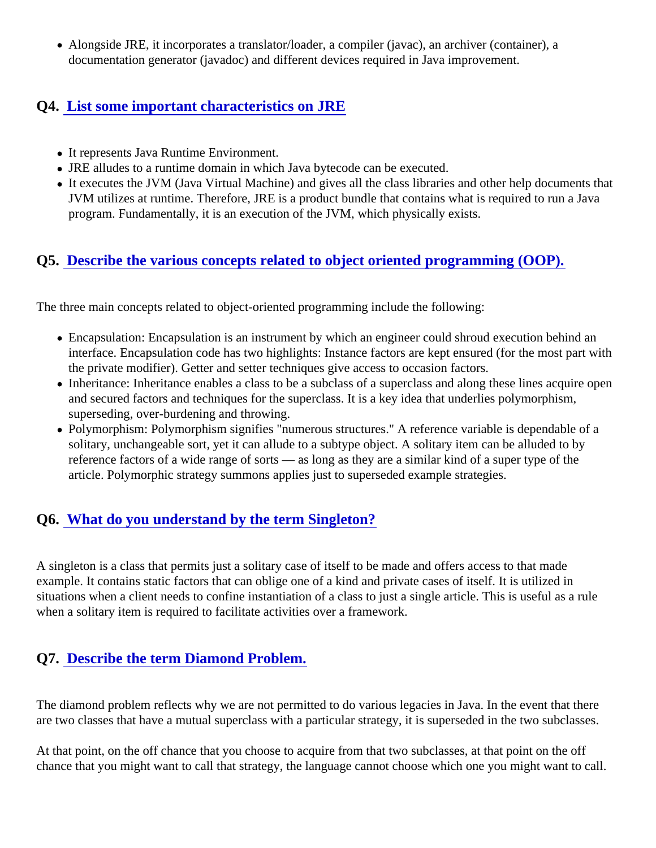Alongside JRE, it incorporates a translator/loader, a compiler (javac), an archiver (container), a documentation generator (javadoc) and different devices required in Java improvement.

#### Q4. [List some important characteristics on JRE](https://www.onlineinterviewquestions.com/list-some-important-characteristics-on-jre/)

- It represents Java Runtime Environment.
- JRE alludes to a runtime domain in which Java bytecode can be executed.
- It executes the JVM (Java Virtual Machine) and gives all the class libraries and other help documents th JVM utilizes at runtime. Therefore, JRE is a product bundle that contains what is required to run a Java program. Fundamentally, it is an execution of the JVM, which physically exists.

# Q5. [Describe the various concepts related to object oriented programming \(OOP](https://www.onlineinterviewquestions.com/describe-the-various-concepts-related-to-object-oriented-programming-oop/)).

The three main concepts related to object-oriented programming include the following:

- Encapsulation: Encapsulation is an instrument by which an engineer could shroud execution behind an interface. Encapsulation code has two highlights: Instance factors are kept ensured (for the most part w the private modifier). Getter and setter techniques give access to occasion factors.
- Inheritance: Inheritance enables a class to be a subclass of a superclass and along these lines acquire and secured factors and techniques for the superclass. It is a key idea that underlies polymorphism, superseding, over-burdening and throwing.
- Polymorphism: Polymorphism signifies "numerous structures." A reference variable is dependable of a solitary, unchangeable sort, yet it can allude to a subtype object. A solitary item can be alluded to by reference factors of a wide range of sorts — as long as they are a similar kind of a super type of the article. Polymorphic strategy summons applies just to superseded example strategies.

# Q6. [What do you understand by the term Singleton?](https://www.onlineinterviewquestions.com/what-do-you-understand-by-the-term-singleton/)

A singleton is a class that permits just a solitary case of itself to be made and offers access to that made example. It contains static factors that can oblige one of a kind and private cases of itself. It is utilized in situations when a client needs to confine instantiation of a class to just a single article. This is useful as a rule when a solitary item is required to facilitate activities over a framework.

# Q7. [Describe the term Diamond Problem](https://www.onlineinterviewquestions.com/describe-the-term-diamond-problem/).

The diamond problem reflects why we are not permitted to do various legacies in Java. In the event that there are two classes that have a mutual superclass with a particular strategy, it is superseded in the two subclasse

At that point, on the off chance that you choose to acquire from that two subclasses, at that point on the off chance that you might want to call that strategy, the language cannot choose which one you might want to call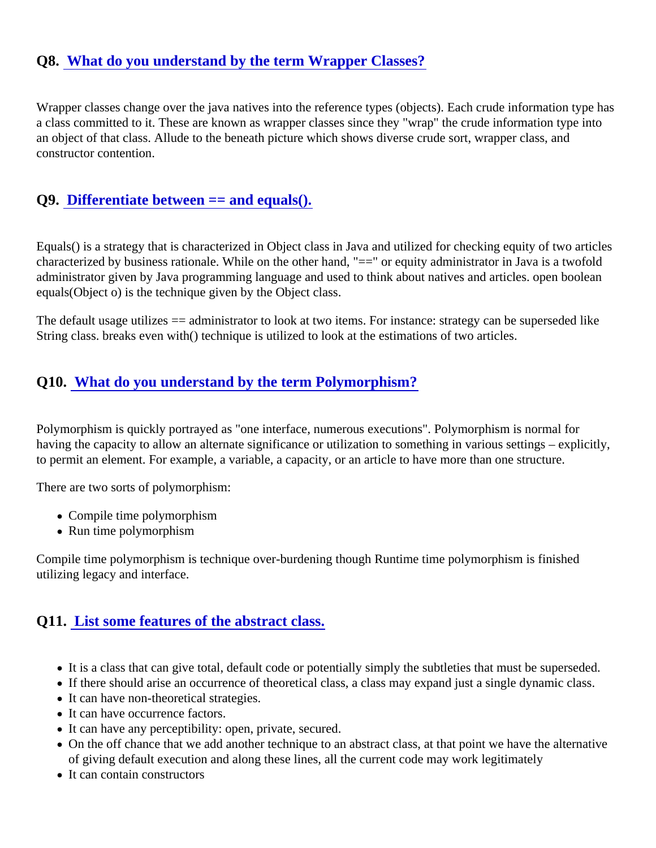#### Q8. [What do you understand by the term Wrapper Classes](https://www.onlineinterviewquestions.com/what-do-you-understand-by-the-term-wrapper-classes/)?

Wrapper classes change over the java natives into the reference types (objects). Each crude information type a class committed to it. These are known as wrapper classes since they "wrap" the crude information type int an object of that class. Allude to the beneath picture which shows diverse crude sort, wrapper class, and constructor contention.

#### Q9. [Differentiate between == and equals\(](https://www.onlineinterviewquestions.com/differentiate-between-and-equals/)).

Equals() is a strategy that is characterized in Object class in Java and utilized for checking equity of two articles characterized by business rationale. While on the other hand, "==" or equity administrator in Java is a twofold administrator given by Java programming language and used to think about natives and articles. open boolea equals(Object o) is the technique given by the Object class.

The default usage utilizes == administrator to look at two items. For instance: strategy can be superseded like String class. breaks even with() technique is utilized to look at the estimations of two articles.

#### Q10. [What do you understand by the term Polymorphism?](https://www.onlineinterviewquestions.com/what-do-you-understand-by-the-term-polymorphism/)

Polymorphism is quickly portrayed as "one interface, numerous executions". Polymorphism is normal for having the capacity to allow an alternate significance or utilization to something in various settings – explicitly, to permit an element. For example, a variable, a capacity, or an article to have more than one structure.

There are two sorts of polymorphism:

- Compile time polymorphism
- Run time polymorphism

Compile time polymorphism is technique over-burdening though Runtime time polymorphism is finished utilizing legacy and interface.

#### Q11. [List some features of the abstract clas](https://www.onlineinterviewquestions.com/list-some-features-of-the-abstract-class/)s.

- It is a class that can give total, default code or potentially simply the subtleties that must be superseded
- If there should arise an occurrence of theoretical class, a class may expand just a single dynamic class.
- It can have non-theoretical strategies.
- It can have occurrence factors.
- It can have any perceptibility: open, private, secured.
- On the off chance that we add another technique to an abstract class, at that point we have the alternat of giving default execution and along these lines, all the current code may work legitimately
- It can contain constructors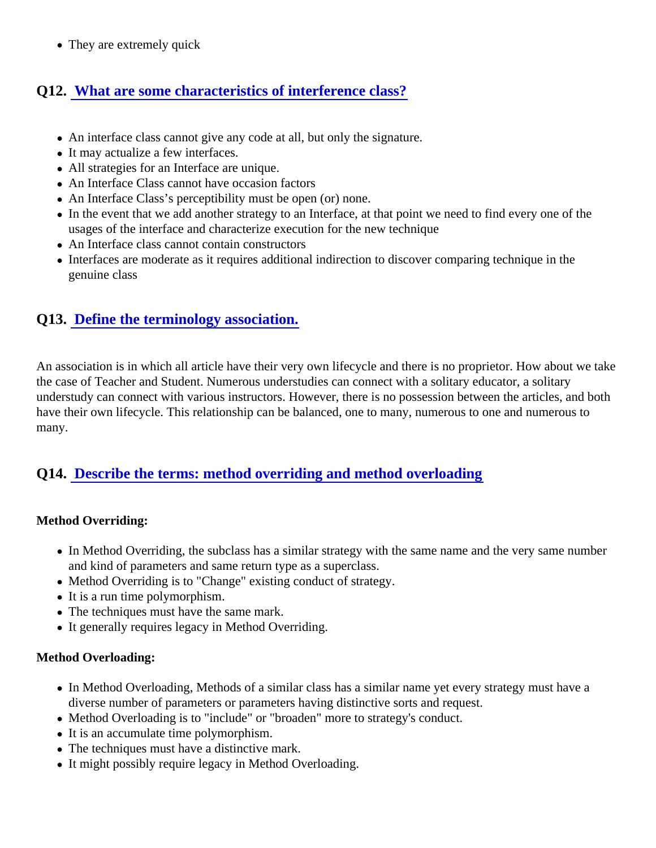• They are extremely quick

### Q12. [What are some characteristics of interference class](https://www.onlineinterviewquestions.com/what-are-some-characteristics-of-interference-class/)?

- An interface class cannot give any code at all, but only the signature.
- It may actualize a few interfaces.
- All strategies for an Interface are unique.
- An Interface Class cannot have occasion factors
- An Interface Class's perceptibility must be open (or) none.
- In the event that we add another strategy to an Interface, at that point we need to find every one of the usages of the interface and characterize execution for the new technique
- An Interface class cannot contain constructors
- Interfaces are moderate as it requires additional indirection to discover comparing technique in the genuine class

#### Q13. [Define the terminology association](https://www.onlineinterviewquestions.com/define-the-terminology-association/).

An association is in which all article have their very own lifecycle and there is no proprietor. How about we tak the case of Teacher and Student. Numerous understudies can connect with a solitary educator, a solitary understudy can connect with various instructors. However, there is no possession between the articles, and b have their own lifecycle. This relationship can be balanced, one to many, numerous to one and numerous to many.

#### Q14. [Describe the terms: method overriding and method overloadin](https://www.onlineinterviewquestions.com/describe-the-terms-method-overriding-and-method-overloading/)g

Method Overriding:

- $\bullet$  In Method Overriding, the subclass has a similar strategy with the same name and the very same numb and kind of parameters and same return type as a superclass.
- Method Overriding is to "Change" existing conduct of strategy.
- It is a run time polymorphism.
- The techniques must have the same mark.
- It generally requires legacy in Method Overriding.

#### Method Overloading:

- In Method Overloading, Methods of a similar class has a similar name yet every strategy must have a diverse number of parameters or parameters having distinctive sorts and request.
- Method Overloading is to "include" or "broaden" more to strategy's conduct.
- It is an accumulate time polymorphism.
- The techniques must have a distinctive mark.
- It might possibly require legacy in Method Overloading.